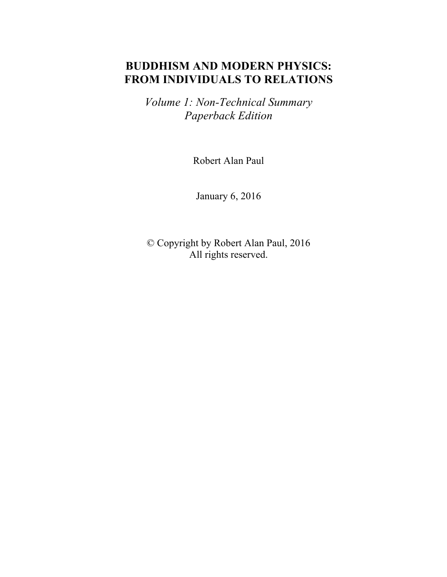# **BUDDHISM AND MODERN PHYSICS: FROM INDIVIDUALS TO RELATIONS**

*Volume 1: Non-Technical Summary Paperback Edition*

Robert Alan Paul

January 6, 2016

© Copyright by Robert Alan Paul, 2016 All rights reserved.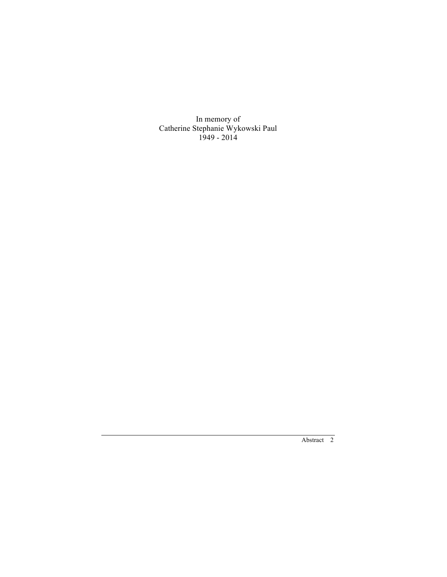In memory of Catherine Stephanie Wykowski Paul 1949 - 2014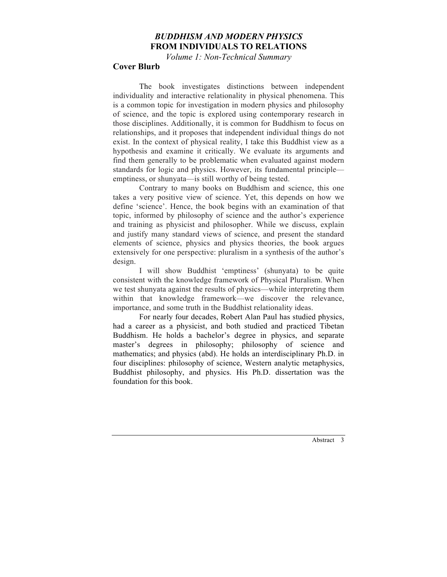## *BUDDHISM AND MODERN PHYSICS* **FROM INDIVIDUALS TO RELATIONS**

*Volume 1: Non-Technical Summary*

## **Cover Blurb**

The book investigates distinctions between independent individuality and interactive relationality in physical phenomena. This is a common topic for investigation in modern physics and philosophy of science, and the topic is explored using contemporary research in those disciplines. Additionally, it is common for Buddhism to focus on relationships, and it proposes that independent individual things do not exist. In the context of physical reality, I take this Buddhist view as a hypothesis and examine it critically. We evaluate its arguments and find them generally to be problematic when evaluated against modern standards for logic and physics. However, its fundamental principle emptiness, or shunyata—is still worthy of being tested.

Contrary to many books on Buddhism and science, this one takes a very positive view of science. Yet, this depends on how we define 'science'. Hence, the book begins with an examination of that topic, informed by philosophy of science and the author's experience and training as physicist and philosopher. While we discuss, explain and justify many standard views of science, and present the standard elements of science, physics and physics theories, the book argues extensively for one perspective: pluralism in a synthesis of the author's design.

I will show Buddhist 'emptiness' (shunyata) to be quite consistent with the knowledge framework of Physical Pluralism. When we test shunyata against the results of physics—while interpreting them within that knowledge framework—we discover the relevance, importance, and some truth in the Buddhist relationality ideas.

For nearly four decades, Robert Alan Paul has studied physics, had a career as a physicist, and both studied and practiced Tibetan Buddhism. He holds a bachelor's degree in physics, and separate master's degrees in philosophy; philosophy of science and mathematics; and physics (abd). He holds an interdisciplinary Ph.D. in four disciplines: philosophy of science, Western analytic metaphysics, Buddhist philosophy, and physics. His Ph.D. dissertation was the foundation for this book.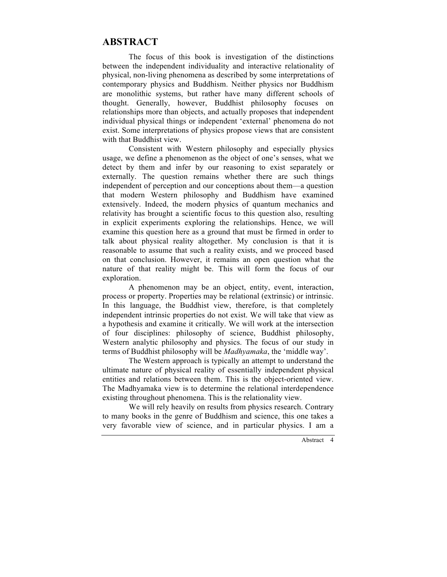## **ABSTRACT**

The focus of this book is investigation of the distinctions between the independent individuality and interactive relationality of physical, non-living phenomena as described by some interpretations of contemporary physics and Buddhism. Neither physics nor Buddhism are monolithic systems, but rather have many different schools of thought. Generally, however, Buddhist philosophy focuses on relationships more than objects, and actually proposes that independent individual physical things or independent 'external' phenomena do not exist. Some interpretations of physics propose views that are consistent with that Buddhist view.

Consistent with Western philosophy and especially physics usage, we define a phenomenon as the object of one's senses, what we detect by them and infer by our reasoning to exist separately or externally. The question remains whether there are such things independent of perception and our conceptions about them—a question that modern Western philosophy and Buddhism have examined extensively. Indeed, the modern physics of quantum mechanics and relativity has brought a scientific focus to this question also, resulting in explicit experiments exploring the relationships. Hence, we will examine this question here as a ground that must be firmed in order to talk about physical reality altogether. My conclusion is that it is reasonable to assume that such a reality exists, and we proceed based on that conclusion. However, it remains an open question what the nature of that reality might be. This will form the focus of our exploration.

A phenomenon may be an object, entity, event, interaction, process or property. Properties may be relational (extrinsic) or intrinsic. In this language, the Buddhist view, therefore, is that completely independent intrinsic properties do not exist. We will take that view as a hypothesis and examine it critically. We will work at the intersection of four disciplines: philosophy of science, Buddhist philosophy, Western analytic philosophy and physics. The focus of our study in terms of Buddhist philosophy will be *Madhyamaka*, the 'middle way'.

The Western approach is typically an attempt to understand the ultimate nature of physical reality of essentially independent physical entities and relations between them. This is the object-oriented view. The Madhyamaka view is to determine the relational interdependence existing throughout phenomena. This is the relationality view.

We will rely heavily on results from physics research. Contrary to many books in the genre of Buddhism and science, this one takes a very favorable view of science, and in particular physics. I am a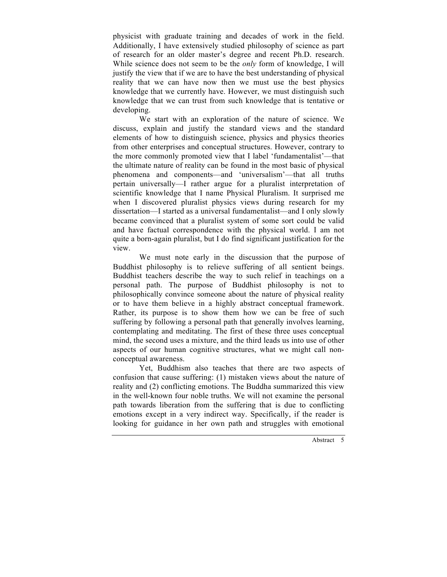physicist with graduate training and decades of work in the field. Additionally, I have extensively studied philosophy of science as part of research for an older master's degree and recent Ph.D. research. While science does not seem to be the *only* form of knowledge, I will justify the view that if we are to have the best understanding of physical reality that we can have now then we must use the best physics knowledge that we currently have. However, we must distinguish such knowledge that we can trust from such knowledge that is tentative or developing.

We start with an exploration of the nature of science. We discuss, explain and justify the standard views and the standard elements of how to distinguish science, physics and physics theories from other enterprises and conceptual structures. However, contrary to the more commonly promoted view that I label 'fundamentalist'—that the ultimate nature of reality can be found in the most basic of physical phenomena and components—and 'universalism'—that all truths pertain universally—I rather argue for a pluralist interpretation of scientific knowledge that I name Physical Pluralism. It surprised me when I discovered pluralist physics views during research for my dissertation—I started as a universal fundamentalist—and I only slowly became convinced that a pluralist system of some sort could be valid and have factual correspondence with the physical world. I am not quite a born-again pluralist, but I do find significant justification for the view.

We must note early in the discussion that the purpose of Buddhist philosophy is to relieve suffering of all sentient beings. Buddhist teachers describe the way to such relief in teachings on a personal path. The purpose of Buddhist philosophy is not to philosophically convince someone about the nature of physical reality or to have them believe in a highly abstract conceptual framework. Rather, its purpose is to show them how we can be free of such suffering by following a personal path that generally involves learning, contemplating and meditating. The first of these three uses conceptual mind, the second uses a mixture, and the third leads us into use of other aspects of our human cognitive structures, what we might call nonconceptual awareness.

Yet, Buddhism also teaches that there are two aspects of confusion that cause suffering: (1) mistaken views about the nature of reality and (2) conflicting emotions. The Buddha summarized this view in the well-known four noble truths. We will not examine the personal path towards liberation from the suffering that is due to conflicting emotions except in a very indirect way. Specifically, if the reader is looking for guidance in her own path and struggles with emotional

Abstract<sub>5</sub>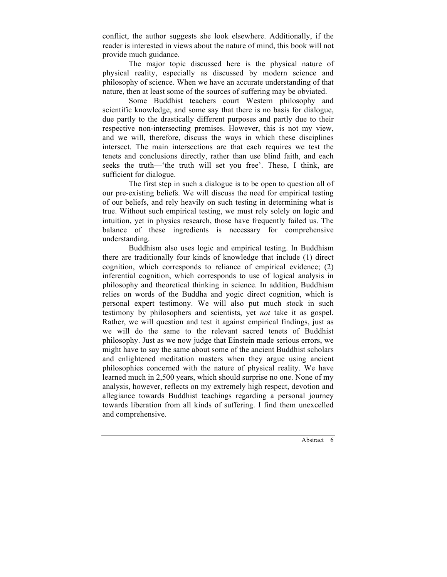conflict, the author suggests she look elsewhere. Additionally, if the reader is interested in views about the nature of mind, this book will not provide much guidance.

The major topic discussed here is the physical nature of physical reality, especially as discussed by modern science and philosophy of science. When we have an accurate understanding of that nature, then at least some of the sources of suffering may be obviated.

Some Buddhist teachers court Western philosophy and scientific knowledge, and some say that there is no basis for dialogue, due partly to the drastically different purposes and partly due to their respective non-intersecting premises. However, this is not my view, and we will, therefore, discuss the ways in which these disciplines intersect. The main intersections are that each requires we test the tenets and conclusions directly, rather than use blind faith, and each seeks the truth—'the truth will set you free'. These, I think, are sufficient for dialogue.

The first step in such a dialogue is to be open to question all of our pre-existing beliefs. We will discuss the need for empirical testing of our beliefs, and rely heavily on such testing in determining what is true. Without such empirical testing, we must rely solely on logic and intuition, yet in physics research, those have frequently failed us. The balance of these ingredients is necessary for comprehensive understanding.

Buddhism also uses logic and empirical testing. In Buddhism there are traditionally four kinds of knowledge that include (1) direct cognition, which corresponds to reliance of empirical evidence; (2) inferential cognition, which corresponds to use of logical analysis in philosophy and theoretical thinking in science. In addition, Buddhism relies on words of the Buddha and yogic direct cognition, which is personal expert testimony. We will also put much stock in such testimony by philosophers and scientists, yet *not* take it as gospel. Rather, we will question and test it against empirical findings, just as we will do the same to the relevant sacred tenets of Buddhist philosophy. Just as we now judge that Einstein made serious errors, we might have to say the same about some of the ancient Buddhist scholars and enlightened meditation masters when they argue using ancient philosophies concerned with the nature of physical reality. We have learned much in 2,500 years, which should surprise no one. None of my analysis, however, reflects on my extremely high respect, devotion and allegiance towards Buddhist teachings regarding a personal journey towards liberation from all kinds of suffering. I find them unexcelled and comprehensive.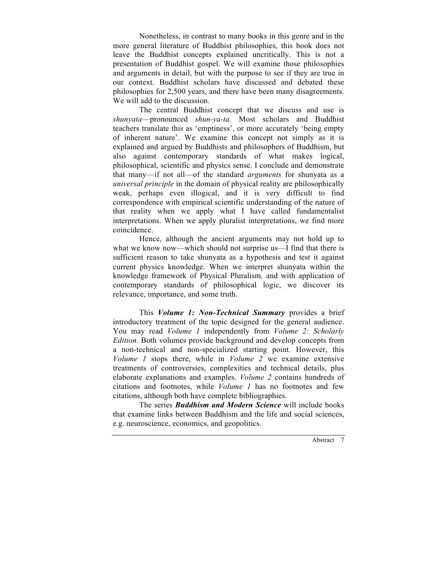Nonetheless, in contrast to many books in this genre and in the more general literature of Buddhist philosophies, this book does not leave the Buddhist concepts explained uncritically. This is not a presentation of Buddhist gospel. We will examine those philosophies and arguments in detail, but with the purpose to see if they are true in our context. Buddhist scholars have discussed and debated these philosophies for 2,500 years, and there have been many disagreements. We will add to the discussion.

The central Buddhist concept that we discuss and use is *shunyata*—pronounced *shun-ya-ta*. Most scholars and Buddhist teachers translate this as 'emptiness', or more accurately 'being empty of inherent nature'. We examine this concept not simply as it is explained and argued by Buddhists and philosophers of Buddhism, but also against contemporary standards of what makes logical, philosophical, scientific and physics sense. I conclude and demonstrate that many—if not all—of the standard *arguments* for shunyata as a *universal principle* in the domain of physical reality are philosophically weak, perhaps even illogical, and it is very difficult to find correspondence with empirical scientific understanding of the nature of that reality when we apply what I have called fundamentalist interpretations. When we apply pluralist interpretations, we find more coincidence.

Hence, although the ancient arguments may not hold up to what we know now—which should not surprise us—I find that there is sufficient reason to take shunyata as a hypothesis and test it against current physics knowledge. When we interpret shunyata within the knowledge framework of Physical Pluralism*,* and with application of contemporary standards of philosophical logic, we discover its relevance, importance, and some truth.

This *Volume 1: Non-Technical Summary* provides a brief introductory treatment of the topic designed for the general audience. You may read *Volume 1* independently from *Volume 2: Scholarly Edition*. Both volumes provide background and develop concepts from a non-technical and non-specialized starting point*.* However, this *Volume 1* stops there, while in *Volume 2* we examine extensive treatments of controversies, complexities and technical details, plus elaborate explanations and examples. *Volume 2* contains hundreds of citations and footnotes, while *Volume 1* has no footnotes and few citations, although both have complete bibliographies.

The series *Buddhism and Modern Science* will include books that examine links between Buddhism and the life and social sciences, e.g. neuroscience, economics, and geopolitics.

Abstract<sub>7</sub>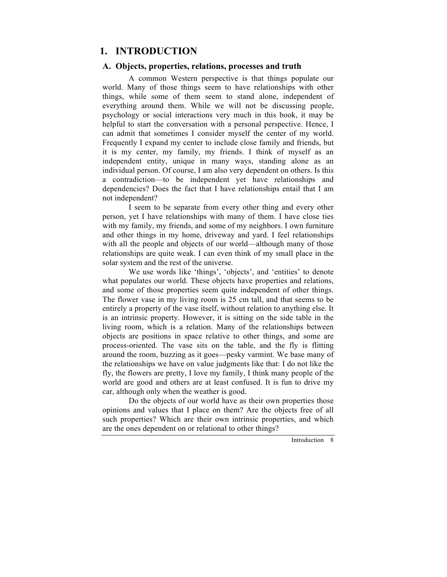## **1. INTRODUCTION**

## **A. Objects, properties, relations, processes and truth**

A common Western perspective is that things populate our world. Many of those things seem to have relationships with other things, while some of them seem to stand alone, independent of everything around them. While we will not be discussing people, psychology or social interactions very much in this book, it may be helpful to start the conversation with a personal perspective. Hence, I can admit that sometimes I consider myself the center of my world. Frequently I expand my center to include close family and friends, but it is my center, my family, my friends. I think of myself as an independent entity, unique in many ways, standing alone as an individual person. Of course, I am also very dependent on others. Is this a contradiction—to be independent yet have relationships and dependencies? Does the fact that I have relationships entail that I am not independent?

I seem to be separate from every other thing and every other person, yet I have relationships with many of them. I have close ties with my family, my friends, and some of my neighbors. I own furniture and other things in my home, driveway and yard. I feel relationships with all the people and objects of our world—although many of those relationships are quite weak. I can even think of my small place in the solar system and the rest of the universe.

We use words like 'things', 'objects', and 'entities' to denote what populates our world. These objects have properties and relations, and some of those properties seem quite independent of other things. The flower vase in my living room is 25 cm tall, and that seems to be entirely a property of the vase itself, without relation to anything else. It is an intrinsic property. However, it is sitting on the side table in the living room, which is a relation. Many of the relationships between objects are positions in space relative to other things, and some are process-oriented. The vase sits on the table, and the fly is flitting around the room, buzzing as it goes—pesky varmint. We base many of the relationships we have on value judgments like that: I do not like the fly, the flowers are pretty, I love my family, I think many people of the world are good and others are at least confused. It is fun to drive my car, although only when the weather is good.

Do the objects of our world have as their own properties those opinions and values that I place on them? Are the objects free of all such properties? Which are their own intrinsic properties, and which are the ones dependent on or relational to other things?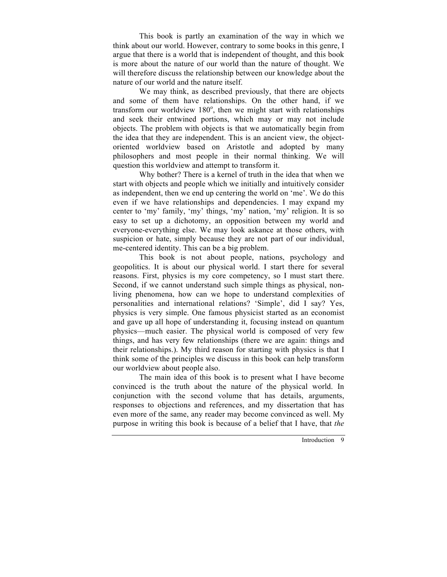This book is partly an examination of the way in which we think about our world. However, contrary to some books in this genre, I argue that there is a world that is independent of thought, and this book is more about the nature of our world than the nature of thought. We will therefore discuss the relationship between our knowledge about the nature of our world and the nature itself.

We may think, as described previously, that there are objects and some of them have relationships. On the other hand, if we transform our worldview  $180^\circ$ , then we might start with relationships and seek their entwined portions, which may or may not include objects. The problem with objects is that we automatically begin from the idea that they are independent. This is an ancient view, the objectoriented worldview based on Aristotle and adopted by many philosophers and most people in their normal thinking. We will question this worldview and attempt to transform it.

Why bother? There is a kernel of truth in the idea that when we start with objects and people which we initially and intuitively consider as independent, then we end up centering the world on 'me'. We do this even if we have relationships and dependencies. I may expand my center to 'my' family, 'my' things, 'my' nation, 'my' religion. It is so easy to set up a dichotomy, an opposition between my world and everyone-everything else. We may look askance at those others, with suspicion or hate, simply because they are not part of our individual, me-centered identity. This can be a big problem.

This book is not about people, nations, psychology and geopolitics. It is about our physical world. I start there for several reasons. First, physics is my core competency, so I must start there. Second, if we cannot understand such simple things as physical, nonliving phenomena, how can we hope to understand complexities of personalities and international relations? 'Simple', did I say? Yes, physics is very simple. One famous physicist started as an economist and gave up all hope of understanding it, focusing instead on quantum physics—much easier. The physical world is composed of very few things, and has very few relationships (there we are again: things and their relationships.). My third reason for starting with physics is that I think some of the principles we discuss in this book can help transform our worldview about people also.

The main idea of this book is to present what I have become convinced is the truth about the nature of the physical world. In conjunction with the second volume that has details, arguments, responses to objections and references, and my dissertation that has even more of the same, any reader may become convinced as well. My purpose in writing this book is because of a belief that I have, that *the*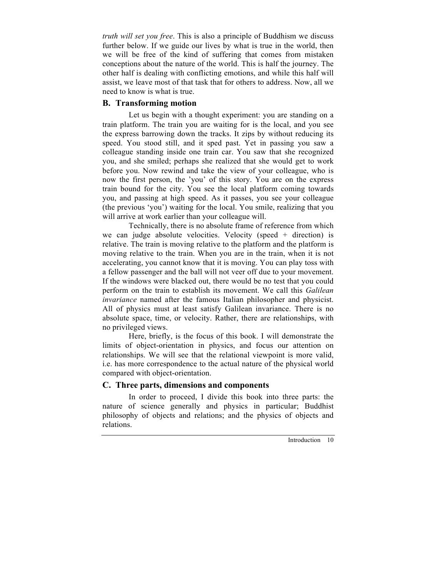*truth will set you free*. This is also a principle of Buddhism we discuss further below. If we guide our lives by what is true in the world, then we will be free of the kind of suffering that comes from mistaken conceptions about the nature of the world. This is half the journey. The other half is dealing with conflicting emotions, and while this half will assist, we leave most of that task that for others to address. Now, all we need to know is what is true.

## **B. Transforming motion**

Let us begin with a thought experiment: you are standing on a train platform. The train you are waiting for is the local, and you see the express barrowing down the tracks. It zips by without reducing its speed. You stood still, and it sped past. Yet in passing you saw a colleague standing inside one train car. You saw that she recognized you, and she smiled; perhaps she realized that she would get to work before you. Now rewind and take the view of your colleague, who is now the first person, the 'you' of this story. You are on the express train bound for the city. You see the local platform coming towards you, and passing at high speed. As it passes, you see your colleague (the previous 'you') waiting for the local. You smile, realizing that you will arrive at work earlier than your colleague will.

Technically, there is no absolute frame of reference from which we can judge absolute velocities. Velocity (speed + direction) is relative. The train is moving relative to the platform and the platform is moving relative to the train. When you are in the train, when it is not accelerating, you cannot know that it is moving. You can play toss with a fellow passenger and the ball will not veer off due to your movement. If the windows were blacked out, there would be no test that you could perform on the train to establish its movement. We call this *Galilean invariance* named after the famous Italian philosopher and physicist. All of physics must at least satisfy Galilean invariance. There is no absolute space, time, or velocity. Rather, there are relationships, with no privileged views.

Here, briefly, is the focus of this book. I will demonstrate the limits of object-orientation in physics, and focus our attention on relationships. We will see that the relational viewpoint is more valid, i.e. has more correspondence to the actual nature of the physical world compared with object-orientation.

## **C. Three parts, dimensions and components**

In order to proceed, I divide this book into three parts: the nature of science generally and physics in particular; Buddhist philosophy of objects and relations; and the physics of objects and relations.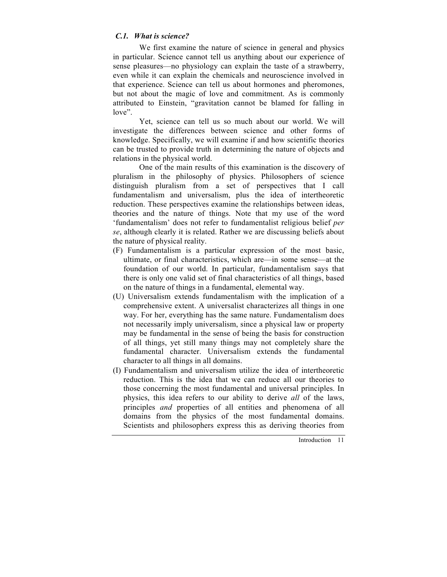## *C.1. What is science?*

We first examine the nature of science in general and physics in particular. Science cannot tell us anything about our experience of sense pleasures—no physiology can explain the taste of a strawberry, even while it can explain the chemicals and neuroscience involved in that experience. Science can tell us about hormones and pheromones, but not about the magic of love and commitment. As is commonly attributed to Einstein, "gravitation cannot be blamed for falling in love".

Yet, science can tell us so much about our world. We will investigate the differences between science and other forms of knowledge. Specifically, we will examine if and how scientific theories can be trusted to provide truth in determining the nature of objects and relations in the physical world.

One of the main results of this examination is the discovery of pluralism in the philosophy of physics. Philosophers of science distinguish pluralism from a set of perspectives that I call fundamentalism and universalism, plus the idea of intertheoretic reduction. These perspectives examine the relationships between ideas, theories and the nature of things. Note that my use of the word 'fundamentalism' does not refer to fundamentalist religious belief *per se*, although clearly it is related. Rather we are discussing beliefs about the nature of physical reality.

- (F) Fundamentalism is a particular expression of the most basic, ultimate, or final characteristics, which are—in some sense—at the foundation of our world. In particular, fundamentalism says that there is only one valid set of final characteristics of all things, based on the nature of things in a fundamental, elemental way.
- (U) Universalism extends fundamentalism with the implication of a comprehensive extent. A universalist characterizes all things in one way. For her, everything has the same nature. Fundamentalism does not necessarily imply universalism, since a physical law or property may be fundamental in the sense of being the basis for construction of all things, yet still many things may not completely share the fundamental character. Universalism extends the fundamental character to all things in all domains.
- (I) Fundamentalism and universalism utilize the idea of intertheoretic reduction. This is the idea that we can reduce all our theories to those concerning the most fundamental and universal principles. In physics, this idea refers to our ability to derive *all* of the laws, principles *and* properties of all entities and phenomena of all domains from the physics of the most fundamental domains. Scientists and philosophers express this as deriving theories from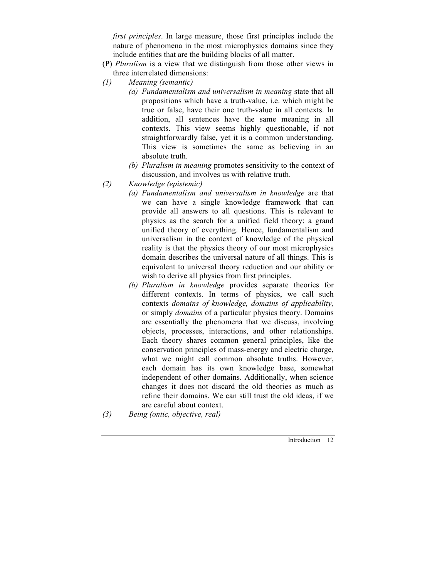*first principles*. In large measure, those first principles include the nature of phenomena in the most microphysics domains since they include entities that are the building blocks of all matter.

- (P) *Pluralism* is a view that we distinguish from those other views in three interrelated dimensions:
- *(1) Meaning (semantic)*
	- *(a) Fundamentalism and universalism in meaning* state that all propositions which have a truth-value, i.e. which might be true or false, have their one truth-value in all contexts. In addition, all sentences have the same meaning in all contexts. This view seems highly questionable, if not straightforwardly false, yet it is a common understanding. This view is sometimes the same as believing in an absolute truth.
	- *(b) Pluralism in meaning* promotes sensitivity to the context of discussion, and involves us with relative truth.
- *(2) Knowledge (epistemic)*
	- *(a) Fundamentalism and universalism in knowledge* are that we can have a single knowledge framework that can provide all answers to all questions. This is relevant to physics as the search for a unified field theory: a grand unified theory of everything. Hence, fundamentalism and universalism in the context of knowledge of the physical reality is that the physics theory of our most microphysics domain describes the universal nature of all things. This is equivalent to universal theory reduction and our ability or wish to derive all physics from first principles.
	- *(b) Pluralism in knowledge* provides separate theories for different contexts. In terms of physics, we call such contexts *domains of knowledge, domains of applicability,*  or simply *domains* of a particular physics theory. Domains are essentially the phenomena that we discuss, involving objects, processes, interactions, and other relationships. Each theory shares common general principles, like the conservation principles of mass-energy and electric charge, what we might call common absolute truths. However, each domain has its own knowledge base, somewhat independent of other domains. Additionally, when science changes it does not discard the old theories as much as refine their domains. We can still trust the old ideas, if we are careful about context.
- *(3) Being (ontic, objective, real)*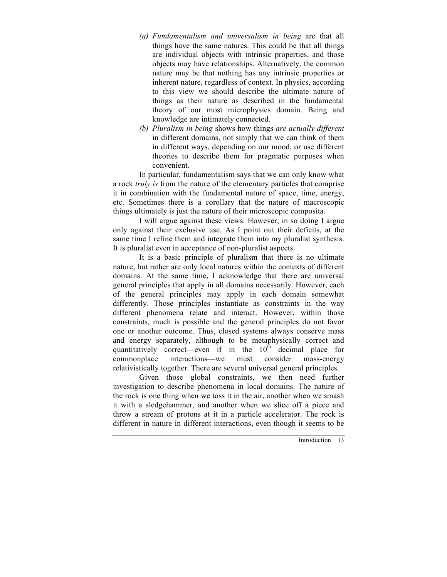- *(a) Fundamentalism and universalism in being* are that all things have the same natures. This could be that all things are individual objects with intrinsic properties, and those objects may have relationships. Alternatively, the common nature may be that nothing has any intrinsic properties or inherent nature, regardless of context. In physics, according to this view we should describe the ultimate nature of things as their nature as described in the fundamental theory of our most microphysics domain. Being and knowledge are intimately connected.
- *(b) Pluralism in being* shows how things *are actually different* in different domains, not simply that we can think of them in different ways, depending on our mood, or use different theories to describe them for pragmatic purposes when convenient.

In particular, fundamentalism says that we can only know what a rock *truly is* from the nature of the elementary particles that comprise it in combination with the fundamental nature of space, time, energy, etc. Sometimes there is a corollary that the nature of macroscopic things ultimately is just the nature of their microscopic composita.

I will argue against these views. However, in so doing I argue only against their exclusive use. As I point out their deficits, at the same time I refine them and integrate them into my pluralist synthesis. It is pluralist even in acceptance of non-pluralist aspects.

It is a basic principle of pluralism that there is no ultimate nature, but rather are only local natures within the contexts of different domains. At the same time, I acknowledge that there are universal general principles that apply in all domains necessarily. However, each of the general principles may apply in each domain somewhat differently. Those principles instantiate as constraints in the way different phenomena relate and interact. However, within those constraints, much is possible and the general principles do not favor one or another outcome. Thus, closed systems always conserve mass and energy separately, although to be metaphysically correct and quantitatively correct—even if in the  $10<sup>th</sup>$  decimal place for commonplace interactions—we must consider mass-energy relativistically together. There are several universal general principles.

Given those global constraints, we then need further investigation to describe phenomena in local domains. The nature of the rock is one thing when we toss it in the air, another when we smash it with a sledgehammer, and another when we slice off a piece and throw a stream of protons at it in a particle accelerator. The rock is different in nature in different interactions, even though it seems to be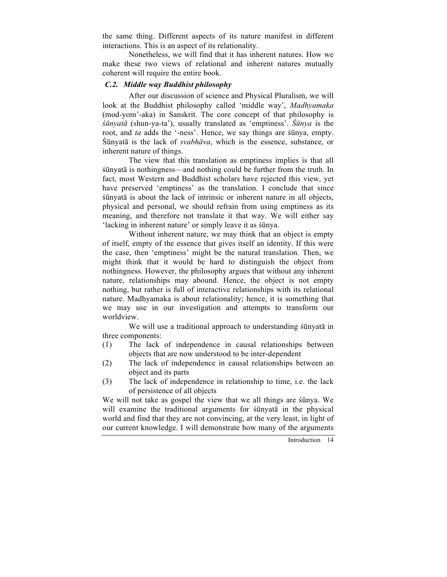the same thing. Different aspects of its nature manifest in different interactions. This is an aspect of its relationality.

Nonetheless, we will find that it has inherent natures. How we make these two views of relational and inherent natures mutually coherent will require the entire book.

## *C.2. Middle way Buddhist philosophy*

After our discussion of science and Physical Pluralism, we will look at the Buddhist philosophy called 'middle way', *Madhyamaka* (mod-yom'-aka) in Sanskrit. The core concept of that philosophy is *śūnyatā* (shun-ya-ta'), usually translated as 'emptiness'. *Śūnya* is the root, and *ta* adds the '-ness'. Hence, we say things are śūnya, empty. Śūnyatā is the lack of *svabhāva*, which is the essence, substance, or inherent nature of things.

The view that this translation as emptiness implies is that all śūnyatā is nothingness—and nothing could be further from the truth. In fact, most Western and Buddhist scholars have rejected this view, yet have preserved 'emptiness' as the translation. I conclude that since śūnyatā is about the lack of intrinsic or inherent nature in all objects, physical and personal, we should refrain from using emptiness as its meaning, and therefore not translate it that way. We will either say 'lacking in inherent nature' or simply leave it as śūnya.

Without inherent nature, we may think that an object is empty of itself, empty of the essence that gives itself an identity. If this were the case, then 'emptiness' might be the natural translation. Then, we might think that it would be hard to distinguish the object from nothingness. However, the philosophy argues that without any inherent nature, relationships may abound. Hence, the object is not empty nothing, but rather is full of interactive relationships with its relational nature. Madhyamaka is about relationality; hence, it is something that we may use in our investigation and attempts to transform our worldview.

We will use a traditional approach to understanding śūnyatā in three components:

- (1) The lack of independence in causal relationships between objects that are now understood to be inter-dependent
- (2) The lack of independence in causal relationships between an object and its parts
- (3) The lack of independence in relationship to time, i.e. the lack of persistence of all objects

We will not take as gospel the view that we all things are śūnya. We will examine the traditional arguments for śūnyatā in the physical world and find that they are not convincing, at the very least, in light of our current knowledge. I will demonstrate how many of the arguments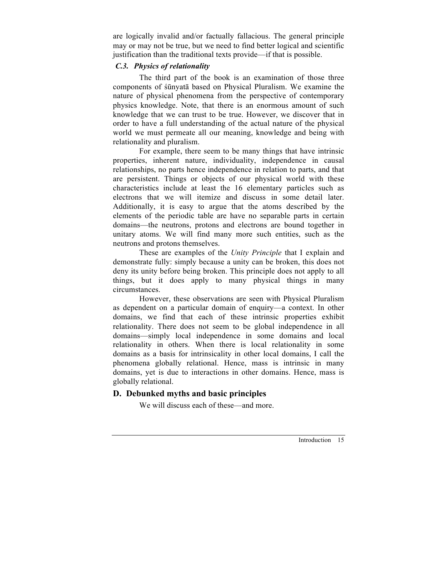are logically invalid and/or factually fallacious. The general principle may or may not be true, but we need to find better logical and scientific justification than the traditional texts provide—if that is possible.

#### *C.3. Physics of relationality*

The third part of the book is an examination of those three components of śūnyatā based on Physical Pluralism. We examine the nature of physical phenomena from the perspective of contemporary physics knowledge. Note, that there is an enormous amount of such knowledge that we can trust to be true. However, we discover that in order to have a full understanding of the actual nature of the physical world we must permeate all our meaning, knowledge and being with relationality and pluralism.

For example, there seem to be many things that have intrinsic properties, inherent nature, individuality, independence in causal relationships, no parts hence independence in relation to parts, and that are persistent. Things or objects of our physical world with these characteristics include at least the 16 elementary particles such as electrons that we will itemize and discuss in some detail later. Additionally, it is easy to argue that the atoms described by the elements of the periodic table are have no separable parts in certain domains—the neutrons, protons and electrons are bound together in unitary atoms. We will find many more such entities, such as the neutrons and protons themselves.

These are examples of the *Unity Principle* that I explain and demonstrate fully: simply because a unity can be broken, this does not deny its unity before being broken. This principle does not apply to all things, but it does apply to many physical things in many circumstances.

However, these observations are seen with Physical Pluralism as dependent on a particular domain of enquiry—a context. In other domains, we find that each of these intrinsic properties exhibit relationality. There does not seem to be global independence in all domains—simply local independence in some domains and local relationality in others. When there is local relationality in some domains as a basis for intrinsicality in other local domains, I call the phenomena globally relational. Hence, mass is intrinsic in many domains, yet is due to interactions in other domains. Hence, mass is globally relational.

#### **D. Debunked myths and basic principles**

We will discuss each of these—and more.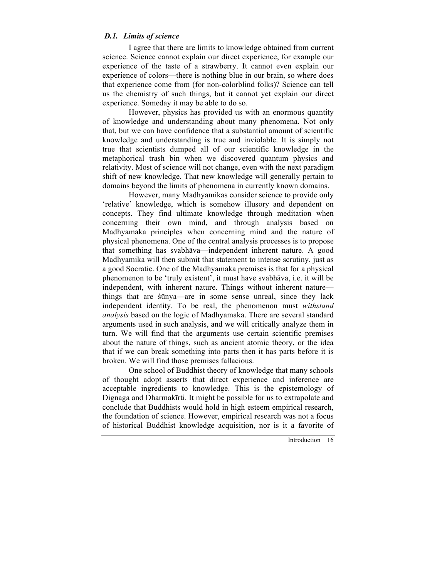## *D.1. Limits of science*

I agree that there are limits to knowledge obtained from current science. Science cannot explain our direct experience, for example our experience of the taste of a strawberry. It cannot even explain our experience of colors—there is nothing blue in our brain, so where does that experience come from (for non-colorblind folks)? Science can tell us the chemistry of such things, but it cannot yet explain our direct experience. Someday it may be able to do so.

However, physics has provided us with an enormous quantity of knowledge and understanding about many phenomena. Not only that, but we can have confidence that a substantial amount of scientific knowledge and understanding is true and inviolable. It is simply not true that scientists dumped all of our scientific knowledge in the metaphorical trash bin when we discovered quantum physics and relativity. Most of science will not change, even with the next paradigm shift of new knowledge. That new knowledge will generally pertain to domains beyond the limits of phenomena in currently known domains.

However, many Madhyamikas consider science to provide only 'relative' knowledge, which is somehow illusory and dependent on concepts. They find ultimate knowledge through meditation when concerning their own mind, and through analysis based on Madhyamaka principles when concerning mind and the nature of physical phenomena. One of the central analysis processes is to propose that something has svabhāva—independent inherent nature. A good Madhyamika will then submit that statement to intense scrutiny, just as a good Socratic. One of the Madhyamaka premises is that for a physical phenomenon to be 'truly existent', it must have svabhāva, i.e. it will be independent, with inherent nature. Things without inherent nature things that are śūnya—are in some sense unreal, since they lack independent identity. To be real, the phenomenon must *withstand analysis* based on the logic of Madhyamaka. There are several standard arguments used in such analysis, and we will critically analyze them in turn. We will find that the arguments use certain scientific premises about the nature of things, such as ancient atomic theory, or the idea that if we can break something into parts then it has parts before it is broken. We will find those premises fallacious.

One school of Buddhist theory of knowledge that many schools of thought adopt asserts that direct experience and inference are acceptable ingredients to knowledge. This is the epistemology of Dignaga and Dharmakīrti. It might be possible for us to extrapolate and conclude that Buddhists would hold in high esteem empirical research, the foundation of science. However, empirical research was not a focus of historical Buddhist knowledge acquisition, nor is it a favorite of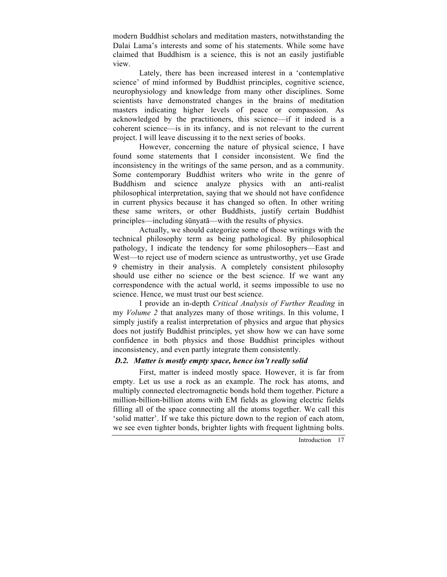modern Buddhist scholars and meditation masters, notwithstanding the Dalai Lama's interests and some of his statements. While some have claimed that Buddhism is a science, this is not an easily justifiable view.

Lately, there has been increased interest in a 'contemplative science' of mind informed by Buddhist principles, cognitive science, neurophysiology and knowledge from many other disciplines. Some scientists have demonstrated changes in the brains of meditation masters indicating higher levels of peace or compassion. As acknowledged by the practitioners, this science—if it indeed is a coherent science—is in its infancy, and is not relevant to the current project. I will leave discussing it to the next series of books.

However, concerning the nature of physical science, I have found some statements that I consider inconsistent. We find the inconsistency in the writings of the same person, and as a community. Some contemporary Buddhist writers who write in the genre of Buddhism and science analyze physics with an anti-realist philosophical interpretation, saying that we should not have confidence in current physics because it has changed so often. In other writing these same writers, or other Buddhists, justify certain Buddhist principles—including śūnyatā—with the results of physics.

Actually, we should categorize some of those writings with the technical philosophy term as being pathological. By philosophical pathology, I indicate the tendency for some philosophers—East and West—to reject use of modern science as untrustworthy, yet use Grade 9 chemistry in their analysis. A completely consistent philosophy should use either no science or the best science. If we want any correspondence with the actual world, it seems impossible to use no science. Hence, we must trust our best science.

I provide an in-depth *Critical Analysis of Further Reading* in my *Volume 2* that analyzes many of those writings. In this volume, I simply justify a realist interpretation of physics and argue that physics does not justify Buddhist principles, yet show how we can have some confidence in both physics and those Buddhist principles without inconsistency, and even partly integrate them consistently.

## *D.2. Matter is mostly empty space, hence isn't really solid*

First, matter is indeed mostly space. However, it is far from empty. Let us use a rock as an example. The rock has atoms, and multiply connected electromagnetic bonds hold them together. Picture a million-billion-billion atoms with EM fields as glowing electric fields filling all of the space connecting all the atoms together. We call this 'solid matter'. If we take this picture down to the region of each atom, we see even tighter bonds, brighter lights with frequent lightning bolts.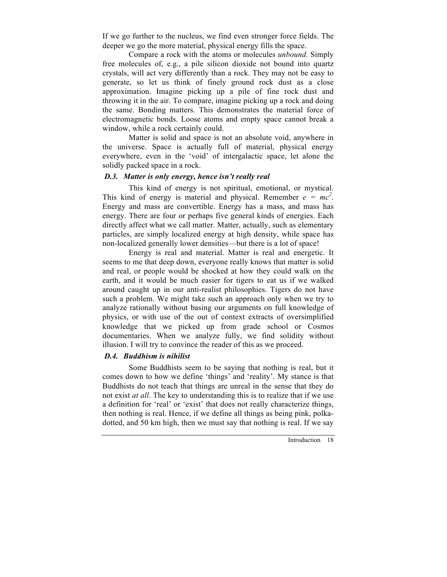If we go further to the nucleus, we find even stronger force fields. The deeper we go the more material, physical energy fills the space.

Compare a rock with the atoms or molecules *unbound*. Simply free molecules of, e.g., a pile silicon dioxide not bound into quartz crystals, will act very differently than a rock. They may not be easy to generate, so let us think of finely ground rock dust as a close approximation. Imagine picking up a pile of fine rock dust and throwing it in the air. To compare, imagine picking up a rock and doing the same. Bonding matters. This demonstrates the material force of electromagnetic bonds. Loose atoms and empty space cannot break a window, while a rock certainly could.

Matter is solid and space is not an absolute void, anywhere in the universe. Space is actually full of material, physical energy everywhere, even in the 'void' of intergalactic space, let alone the solidly packed space in a rock.

## *D.3. Matter is only energy, hence isn't really real*

This kind of energy is not spiritual, emotional, or mystical. This kind of energy is material and physical. Remember  $e = mc^2$ . Energy and mass are convertible. Energy has a mass, and mass has energy. There are four or perhaps five general kinds of energies. Each directly affect what we call matter. Matter, actually, such as elementary particles, are simply localized energy at high density, while space has non-localized generally lower densities—but there is a lot of space!

Energy is real and material. Matter is real and energetic. It seems to me that deep down, everyone really knows that matter is solid and real, or people would be shocked at how they could walk on the earth, and it would be much easier for tigers to eat us if we walked around caught up in our anti-realist philosophies. Tigers do not have such a problem. We might take such an approach only when we try to analyze rationally without basing our arguments on full knowledge of physics, or with use of the out of context extracts of oversimplified knowledge that we picked up from grade school or Cosmos documentaries. When we analyze fully, we find solidity without illusion. I will try to convince the reader of this as we proceed.

#### *D.4. Buddhism is nihilist*

Some Buddhists seem to be saying that nothing is real, but it comes down to how we define 'things' and 'reality'. My stance is that Buddhists do not teach that things are unreal in the sense that they do not exist *at all*. The key to understanding this is to realize that if we use a definition for 'real' or 'exist' that does not really characterize things, then nothing is real. Hence, if we define all things as being pink, polkadotted, and 50 km high, then we must say that nothing is real. If we say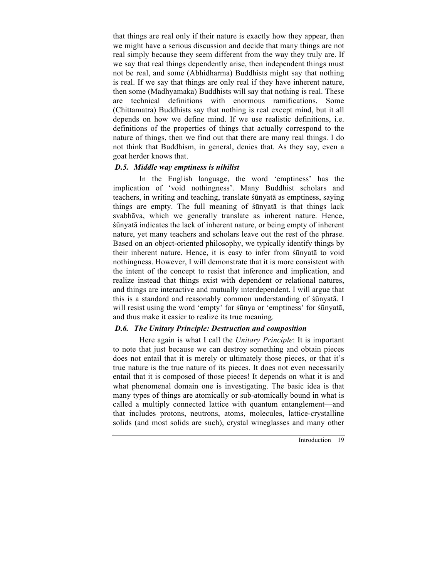that things are real only if their nature is exactly how they appear, then we might have a serious discussion and decide that many things are not real simply because they seem different from the way they truly are. If we say that real things dependently arise, then independent things must not be real, and some (Abhidharma) Buddhists might say that nothing is real. If we say that things are only real if they have inherent nature, then some (Madhyamaka) Buddhists will say that nothing is real. These are technical definitions with enormous ramifications. Some (Chittamatra) Buddhists say that nothing is real except mind, but it all depends on how we define mind. If we use realistic definitions, i.e. definitions of the properties of things that actually correspond to the nature of things, then we find out that there are many real things. I do not think that Buddhism, in general, denies that. As they say, even a goat herder knows that.

#### *D.5. Middle way emptiness is nihilist*

In the English language, the word 'emptiness' has the implication of 'void nothingness'. Many Buddhist scholars and teachers, in writing and teaching, translate śūnyatā as emptiness, saying things are empty. The full meaning of śūnyatā is that things lack svabhāva, which we generally translate as inherent nature. Hence, śūnyatā indicates the lack of inherent nature, or being empty of inherent nature, yet many teachers and scholars leave out the rest of the phrase. Based on an object-oriented philosophy, we typically identify things by their inherent nature. Hence, it is easy to infer from śūnyatā to void nothingness. However, I will demonstrate that it is more consistent with the intent of the concept to resist that inference and implication, and realize instead that things exist with dependent or relational natures, and things are interactive and mutually interdependent. I will argue that this is a standard and reasonably common understanding of śūnyatā. I will resist using the word 'empty' for śūnya or 'emptiness' for śūnyatā, and thus make it easier to realize its true meaning.

## *D.6. The Unitary Principle: Destruction and composition*

Here again is what I call the *Unitary Principle*: It is important to note that just because we can destroy something and obtain pieces does not entail that it is merely or ultimately those pieces, or that it's true nature is the true nature of its pieces. It does not even necessarily entail that it is composed of those pieces! It depends on what it is and what phenomenal domain one is investigating. The basic idea is that many types of things are atomically or sub-atomically bound in what is called a multiply connected lattice with quantum entanglement—and that includes protons, neutrons, atoms, molecules, lattice-crystalline solids (and most solids are such), crystal wineglasses and many other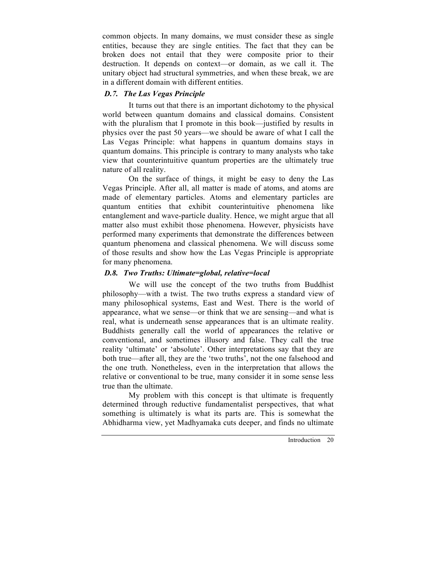common objects. In many domains, we must consider these as single entities, because they are single entities. The fact that they can be broken does not entail that they were composite prior to their destruction. It depends on context—or domain, as we call it. The unitary object had structural symmetries, and when these break, we are in a different domain with different entities.

## *D.7. The Las Vegas Principle*

It turns out that there is an important dichotomy to the physical world between quantum domains and classical domains. Consistent with the pluralism that I promote in this book—justified by results in physics over the past 50 years—we should be aware of what I call the Las Vegas Principle: what happens in quantum domains stays in quantum domains. This principle is contrary to many analysts who take view that counterintuitive quantum properties are the ultimately true nature of all reality.

On the surface of things, it might be easy to deny the Las Vegas Principle. After all, all matter is made of atoms, and atoms are made of elementary particles. Atoms and elementary particles are quantum entities that exhibit counterintuitive phenomena like entanglement and wave-particle duality. Hence, we might argue that all matter also must exhibit those phenomena. However, physicists have performed many experiments that demonstrate the differences between quantum phenomena and classical phenomena. We will discuss some of those results and show how the Las Vegas Principle is appropriate for many phenomena.

#### *D.8. Two Truths: Ultimate=global, relative=local*

We will use the concept of the two truths from Buddhist philosophy—with a twist. The two truths express a standard view of many philosophical systems, East and West. There is the world of appearance, what we sense—or think that we are sensing—and what is real, what is underneath sense appearances that is an ultimate reality. Buddhists generally call the world of appearances the relative or conventional, and sometimes illusory and false. They call the true reality 'ultimate' or 'absolute'. Other interpretations say that they are both true—after all, they are the 'two truths', not the one falsehood and the one truth. Nonetheless, even in the interpretation that allows the relative or conventional to be true, many consider it in some sense less true than the ultimate.

My problem with this concept is that ultimate is frequently determined through reductive fundamentalist perspectives, that what something is ultimately is what its parts are. This is somewhat the Abhidharma view, yet Madhyamaka cuts deeper, and finds no ultimate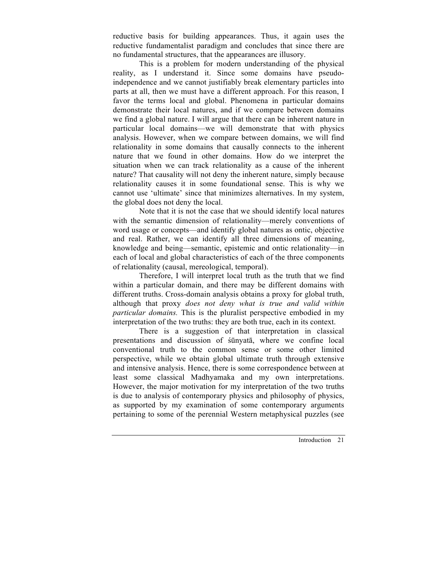reductive basis for building appearances. Thus, it again uses the reductive fundamentalist paradigm and concludes that since there are no fundamental structures, that the appearances are illusory.

This is a problem for modern understanding of the physical reality, as I understand it. Since some domains have pseudoindependence and we cannot justifiably break elementary particles into parts at all, then we must have a different approach. For this reason, I favor the terms local and global. Phenomena in particular domains demonstrate their local natures, and if we compare between domains we find a global nature. I will argue that there can be inherent nature in particular local domains—we will demonstrate that with physics analysis. However, when we compare between domains, we will find relationality in some domains that causally connects to the inherent nature that we found in other domains. How do we interpret the situation when we can track relationality as a cause of the inherent nature? That causality will not deny the inherent nature, simply because relationality causes it in some foundational sense. This is why we cannot use 'ultimate' since that minimizes alternatives. In my system, the global does not deny the local.

Note that it is not the case that we should identify local natures with the semantic dimension of relationality—merely conventions of word usage or concepts—and identify global natures as ontic, objective and real. Rather, we can identify all three dimensions of meaning, knowledge and being—semantic, epistemic and ontic relationality—in each of local and global characteristics of each of the three components of relationality (causal, mereological, temporal).

Therefore, I will interpret local truth as the truth that we find within a particular domain, and there may be different domains with different truths. Cross-domain analysis obtains a proxy for global truth, although that proxy *does not deny what is true and valid within particular domains.* This is the pluralist perspective embodied in my interpretation of the two truths: they are both true, each in its context.

There is a suggestion of that interpretation in classical presentations and discussion of śūnyatā, where we confine local conventional truth to the common sense or some other limited perspective, while we obtain global ultimate truth through extensive and intensive analysis. Hence, there is some correspondence between at least some classical Madhyamaka and my own interpretations. However, the major motivation for my interpretation of the two truths is due to analysis of contemporary physics and philosophy of physics, as supported by my examination of some contemporary arguments pertaining to some of the perennial Western metaphysical puzzles (see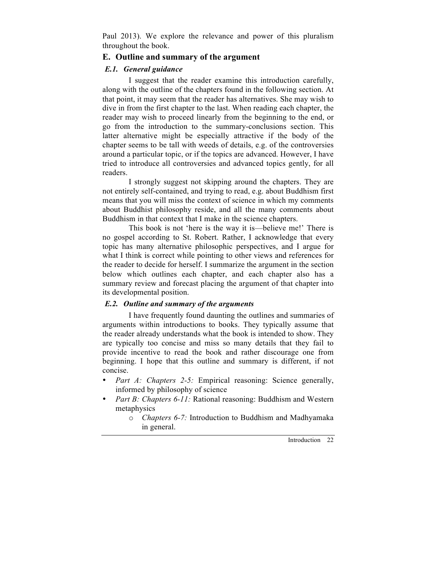Paul 2013). We explore the relevance and power of this pluralism throughout the book.

## **E. Outline and summary of the argument**

#### *E.1. General guidance*

I suggest that the reader examine this introduction carefully, along with the outline of the chapters found in the following section. At that point, it may seem that the reader has alternatives. She may wish to dive in from the first chapter to the last. When reading each chapter, the reader may wish to proceed linearly from the beginning to the end, or go from the introduction to the summary-conclusions section. This latter alternative might be especially attractive if the body of the chapter seems to be tall with weeds of details, e.g. of the controversies around a particular topic, or if the topics are advanced. However, I have tried to introduce all controversies and advanced topics gently, for all readers.

I strongly suggest not skipping around the chapters. They are not entirely self-contained, and trying to read, e.g. about Buddhism first means that you will miss the context of science in which my comments about Buddhist philosophy reside, and all the many comments about Buddhism in that context that I make in the science chapters.

This book is not 'here is the way it is—believe me!' There is no gospel according to St. Robert. Rather, I acknowledge that every topic has many alternative philosophic perspectives, and I argue for what I think is correct while pointing to other views and references for the reader to decide for herself. I summarize the argument in the section below which outlines each chapter, and each chapter also has a summary review and forecast placing the argument of that chapter into its developmental position.

### *E.2. Outline and summary of the arguments*

I have frequently found daunting the outlines and summaries of arguments within introductions to books. They typically assume that the reader already understands what the book is intended to show. They are typically too concise and miss so many details that they fail to provide incentive to read the book and rather discourage one from beginning. I hope that this outline and summary is different, if not concise.

- *Part A: Chapters 2-5:* Empirical reasoning: Science generally, informed by philosophy of science
- *Part B: Chapters 6-11:* Rational reasoning: Buddhism and Western metaphysics
	- o *Chapters 6-7:* Introduction to Buddhism and Madhyamaka in general.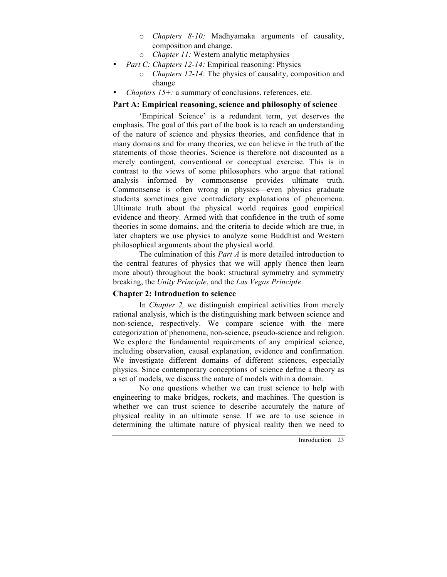- o *Chapters 8-10:* Madhyamaka arguments of causality, composition and change.
- o *Chapter 11:* Western analytic metaphysics
- *Part C: Chapters 12-14:* Empirical reasoning: Physics
	- o *Chapters 12-14*: The physics of causality, composition and change
	- *Chapters 15+:* a summary of conclusions, references, etc.

## **Part A: Empirical reasoning, science and philosophy of science**

'Empirical Science' is a redundant term, yet deserves the emphasis. The goal of this part of the book is to reach an understanding of the nature of science and physics theories, and confidence that in many domains and for many theories, we can believe in the truth of the statements of those theories. Science is therefore not discounted as a merely contingent, conventional or conceptual exercise. This is in contrast to the views of some philosophers who argue that rational analysis informed by commonsense provides ultimate truth. Commonsense is often wrong in physics—even physics graduate students sometimes give contradictory explanations of phenomena. Ultimate truth about the physical world requires good empirical evidence and theory. Armed with that confidence in the truth of some theories in some domains, and the criteria to decide which are true, in later chapters we use physics to analyze some Buddhist and Western philosophical arguments about the physical world.

The culmination of this *Part A* is more detailed introduction to the central features of physics that we will apply (hence then learn more about) throughout the book: structural symmetry and symmetry breaking, the *Unity Principle*, and the *Las Vegas Principle*.

## **Chapter 2: Introduction to science**

In *Chapter 2,* we distinguish empirical activities from merely rational analysis, which is the distinguishing mark between science and non-science, respectively. We compare science with the mere categorization of phenomena, non-science, pseudo-science and religion. We explore the fundamental requirements of any empirical science, including observation, causal explanation, evidence and confirmation. We investigate different domains of different sciences, especially physics. Since contemporary conceptions of science define a theory as a set of models, we discuss the nature of models within a domain.

No one questions whether we can trust science to help with engineering to make bridges, rockets, and machines. The question is whether we can trust science to describe accurately the nature of physical reality in an ultimate sense. If we are to use science in determining the ultimate nature of physical reality then we need to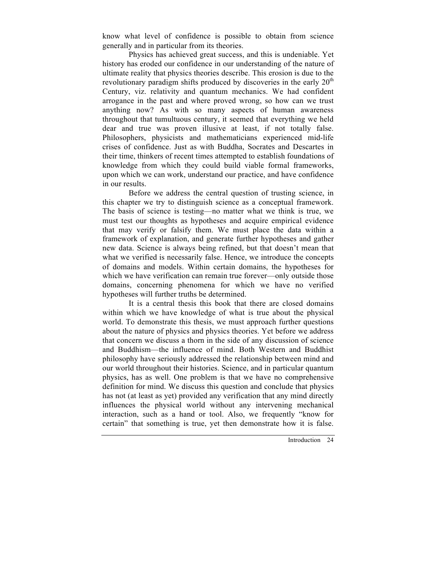know what level of confidence is possible to obtain from science generally and in particular from its theories.

Physics has achieved great success, and this is undeniable. Yet history has eroded our confidence in our understanding of the nature of ultimate reality that physics theories describe. This erosion is due to the revolutionary paradigm shifts produced by discoveries in the early  $20<sup>th</sup>$ Century, viz. relativity and quantum mechanics. We had confident arrogance in the past and where proved wrong, so how can we trust anything now? As with so many aspects of human awareness throughout that tumultuous century, it seemed that everything we held dear and true was proven illusive at least, if not totally false. Philosophers, physicists and mathematicians experienced mid-life crises of confidence. Just as with Buddha, Socrates and Descartes in their time, thinkers of recent times attempted to establish foundations of knowledge from which they could build viable formal frameworks, upon which we can work, understand our practice, and have confidence in our results.

Before we address the central question of trusting science, in this chapter we try to distinguish science as a conceptual framework. The basis of science is testing—no matter what we think is true, we must test our thoughts as hypotheses and acquire empirical evidence that may verify or falsify them. We must place the data within a framework of explanation, and generate further hypotheses and gather new data. Science is always being refined, but that doesn't mean that what we verified is necessarily false. Hence, we introduce the concepts of domains and models. Within certain domains, the hypotheses for which we have verification can remain true forever—only outside those domains, concerning phenomena for which we have no verified hypotheses will further truths be determined.

It is a central thesis this book that there are closed domains within which we have knowledge of what is true about the physical world. To demonstrate this thesis, we must approach further questions about the nature of physics and physics theories. Yet before we address that concern we discuss a thorn in the side of any discussion of science and Buddhism—the influence of mind. Both Western and Buddhist philosophy have seriously addressed the relationship between mind and our world throughout their histories. Science, and in particular quantum physics, has as well. One problem is that we have no comprehensive definition for mind. We discuss this question and conclude that physics has not (at least as yet) provided any verification that any mind directly influences the physical world without any intervening mechanical interaction, such as a hand or tool. Also, we frequently "know for certain" that something is true, yet then demonstrate how it is false.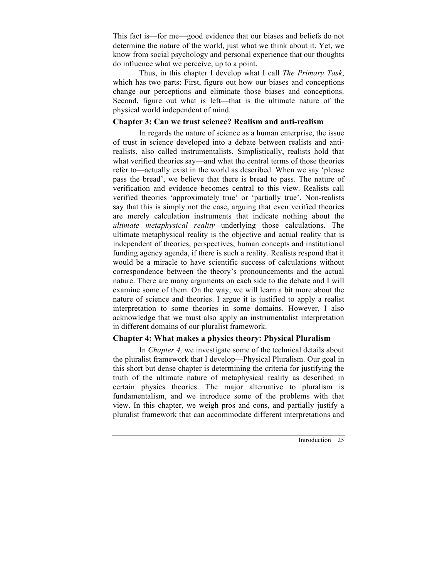This fact is—for me—good evidence that our biases and beliefs do not determine the nature of the world, just what we think about it. Yet, we know from social psychology and personal experience that our thoughts do influence what we perceive, up to a point.

Thus, in this chapter I develop what I call *The Primary Task*, which has two parts: First, figure out how our biases and conceptions change our perceptions and eliminate those biases and conceptions. Second, figure out what is left—that is the ultimate nature of the physical world independent of mind.

## **Chapter 3: Can we trust science? Realism and anti-realism**

In regards the nature of science as a human enterprise, the issue of trust in science developed into a debate between realists and antirealists, also called instrumentalists. Simplistically, realists hold that what verified theories say—and what the central terms of those theories refer to—actually exist in the world as described. When we say 'please pass the bread', we believe that there is bread to pass. The nature of verification and evidence becomes central to this view. Realists call verified theories 'approximately true' or 'partially true'. Non-realists say that this is simply not the case, arguing that even verified theories are merely calculation instruments that indicate nothing about the *ultimate metaphysical reality* underlying those calculations. The ultimate metaphysical reality is the objective and actual reality that is independent of theories, perspectives, human concepts and institutional funding agency agenda, if there is such a reality. Realists respond that it would be a miracle to have scientific success of calculations without correspondence between the theory's pronouncements and the actual nature. There are many arguments on each side to the debate and I will examine some of them. On the way, we will learn a bit more about the nature of science and theories. I argue it is justified to apply a realist interpretation to some theories in some domains. However, I also acknowledge that we must also apply an instrumentalist interpretation in different domains of our pluralist framework.

## **Chapter 4: What makes a physics theory: Physical Pluralism**

In *Chapter 4,* we investigate some of the technical details about the pluralist framework that I develop—Physical Pluralism. Our goal in this short but dense chapter is determining the criteria for justifying the truth of the ultimate nature of metaphysical reality as described in certain physics theories. The major alternative to pluralism is fundamentalism, and we introduce some of the problems with that view. In this chapter, we weigh pros and cons, and partially justify a pluralist framework that can accommodate different interpretations and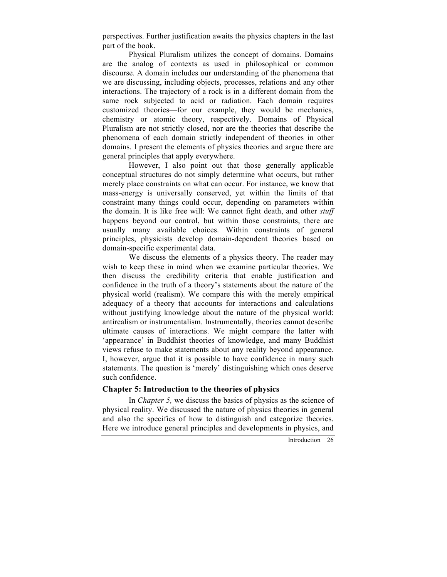perspectives. Further justification awaits the physics chapters in the last part of the book.

Physical Pluralism utilizes the concept of domains. Domains are the analog of contexts as used in philosophical or common discourse. A domain includes our understanding of the phenomena that we are discussing, including objects, processes, relations and any other interactions. The trajectory of a rock is in a different domain from the same rock subjected to acid or radiation. Each domain requires customized theories—for our example, they would be mechanics, chemistry or atomic theory, respectively. Domains of Physical Pluralism are not strictly closed, nor are the theories that describe the phenomena of each domain strictly independent of theories in other domains. I present the elements of physics theories and argue there are general principles that apply everywhere.

However, I also point out that those generally applicable conceptual structures do not simply determine what occurs, but rather merely place constraints on what can occur. For instance, we know that mass-energy is universally conserved, yet within the limits of that constraint many things could occur, depending on parameters within the domain. It is like free will: We cannot fight death, and other *stuff* happens beyond our control, but within those constraints, there are usually many available choices. Within constraints of general principles, physicists develop domain-dependent theories based on domain-specific experimental data.

We discuss the elements of a physics theory. The reader may wish to keep these in mind when we examine particular theories. We then discuss the credibility criteria that enable justification and confidence in the truth of a theory's statements about the nature of the physical world (realism). We compare this with the merely empirical adequacy of a theory that accounts for interactions and calculations without justifying knowledge about the nature of the physical world: antirealism or instrumentalism. Instrumentally, theories cannot describe ultimate causes of interactions. We might compare the latter with 'appearance' in Buddhist theories of knowledge, and many Buddhist views refuse to make statements about any reality beyond appearance. I, however, argue that it is possible to have confidence in many such statements. The question is 'merely' distinguishing which ones deserve such confidence.

## **Chapter 5: Introduction to the theories of physics**

In *Chapter 5,* we discuss the basics of physics as the science of physical reality. We discussed the nature of physics theories in general and also the specifics of how to distinguish and categorize theories. Here we introduce general principles and developments in physics, and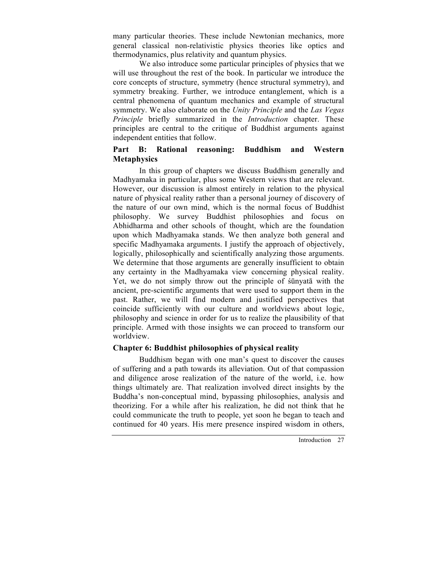many particular theories. These include Newtonian mechanics, more general classical non-relativistic physics theories like optics and thermodynamics, plus relativity and quantum physics.

We also introduce some particular principles of physics that we will use throughout the rest of the book. In particular we introduce the core concepts of structure, symmetry (hence structural symmetry), and symmetry breaking. Further, we introduce entanglement, which is a central phenomena of quantum mechanics and example of structural symmetry. We also elaborate on the *Unity Principle* and the *Las Vegas Principle* briefly summarized in the *Introduction* chapter. These principles are central to the critique of Buddhist arguments against independent entities that follow.

## **Part B: Rational reasoning: Buddhism and Western Metaphysics**

In this group of chapters we discuss Buddhism generally and Madhyamaka in particular, plus some Western views that are relevant. However, our discussion is almost entirely in relation to the physical nature of physical reality rather than a personal journey of discovery of the nature of our own mind, which is the normal focus of Buddhist philosophy. We survey Buddhist philosophies and focus on Abhidharma and other schools of thought, which are the foundation upon which Madhyamaka stands. We then analyze both general and specific Madhyamaka arguments. I justify the approach of objectively, logically, philosophically and scientifically analyzing those arguments. We determine that those arguments are generally insufficient to obtain any certainty in the Madhyamaka view concerning physical reality. Yet, we do not simply throw out the principle of śūnyatā with the ancient, pre-scientific arguments that were used to support them in the past. Rather, we will find modern and justified perspectives that coincide sufficiently with our culture and worldviews about logic, philosophy and science in order for us to realize the plausibility of that principle. Armed with those insights we can proceed to transform our worldview.

## **Chapter 6: Buddhist philosophies of physical reality**

Buddhism began with one man's quest to discover the causes of suffering and a path towards its alleviation. Out of that compassion and diligence arose realization of the nature of the world, i.e. how things ultimately are. That realization involved direct insights by the Buddha's non-conceptual mind, bypassing philosophies, analysis and theorizing. For a while after his realization, he did not think that he could communicate the truth to people, yet soon he began to teach and continued for 40 years. His mere presence inspired wisdom in others,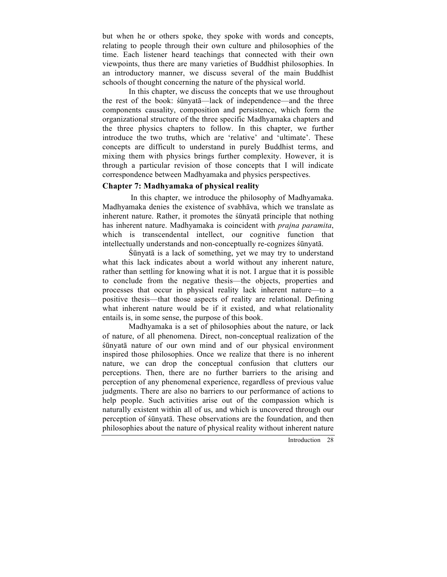but when he or others spoke, they spoke with words and concepts, relating to people through their own culture and philosophies of the time. Each listener heard teachings that connected with their own viewpoints, thus there are many varieties of Buddhist philosophies. In an introductory manner, we discuss several of the main Buddhist schools of thought concerning the nature of the physical world.

In this chapter, we discuss the concepts that we use throughout the rest of the book: śūnyatā—lack of independence—and the three components causality, composition and persistence, which form the organizational structure of the three specific Madhyamaka chapters and the three physics chapters to follow. In this chapter, we further introduce the two truths, which are 'relative' and 'ultimate'. These concepts are difficult to understand in purely Buddhist terms, and mixing them with physics brings further complexity. However, it is through a particular revision of those concepts that I will indicate correspondence between Madhyamaka and physics perspectives.

## **Chapter 7: Madhyamaka of physical reality**

In this chapter, we introduce the philosophy of Madhyamaka. Madhyamaka denies the existence of svabhāva, which we translate as inherent nature. Rather, it promotes the śūnyatā principle that nothing has inherent nature. Madhyamaka is coincident with *prajna paramita*, which is transcendental intellect, our cognitive function that intellectually understands and non-conceptually re-cognizes śūnyatā.

Śūnyatā is a lack of something, yet we may try to understand what this lack indicates about a world without any inherent nature, rather than settling for knowing what it is not. I argue that it is possible to conclude from the negative thesis—the objects, properties and processes that occur in physical reality lack inherent nature—to a positive thesis—that those aspects of reality are relational. Defining what inherent nature would be if it existed, and what relationality entails is, in some sense, the purpose of this book.

Madhyamaka is a set of philosophies about the nature, or lack of nature, of all phenomena. Direct, non-conceptual realization of the śūnyatā nature of our own mind and of our physical environment inspired those philosophies. Once we realize that there is no inherent nature, we can drop the conceptual confusion that clutters our perceptions. Then, there are no further barriers to the arising and perception of any phenomenal experience, regardless of previous value judgments. There are also no barriers to our performance of actions to help people. Such activities arise out of the compassion which is naturally existent within all of us, and which is uncovered through our perception of śūnyatā. These observations are the foundation, and then philosophies about the nature of physical reality without inherent nature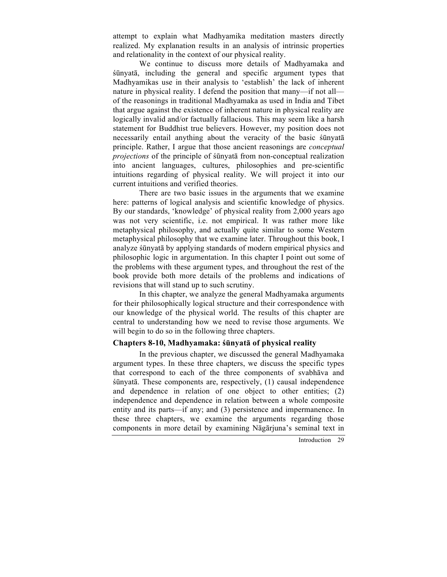attempt to explain what Madhyamika meditation masters directly realized. My explanation results in an analysis of intrinsic properties and relationality in the context of our physical reality.

We continue to discuss more details of Madhyamaka and śūnyatā, including the general and specific argument types that Madhyamikas use in their analysis to 'establish' the lack of inherent nature in physical reality. I defend the position that many—if not all of the reasonings in traditional Madhyamaka as used in India and Tibet that argue against the existence of inherent nature in physical reality are logically invalid and/or factually fallacious. This may seem like a harsh statement for Buddhist true believers. However, my position does not necessarily entail anything about the veracity of the basic śūnyatā principle. Rather, I argue that those ancient reasonings are *conceptual projections* of the principle of śūnyatā from non-conceptual realization into ancient languages, cultures, philosophies and pre-scientific intuitions regarding of physical reality. We will project it into our current intuitions and verified theories.

There are two basic issues in the arguments that we examine here: patterns of logical analysis and scientific knowledge of physics. By our standards, 'knowledge' of physical reality from 2,000 years ago was not very scientific, i.e. not empirical. It was rather more like metaphysical philosophy, and actually quite similar to some Western metaphysical philosophy that we examine later. Throughout this book, I analyze śūnyatā by applying standards of modern empirical physics and philosophic logic in argumentation. In this chapter I point out some of the problems with these argument types, and throughout the rest of the book provide both more details of the problems and indications of revisions that will stand up to such scrutiny.

In this chapter, we analyze the general Madhyamaka arguments for their philosophically logical structure and their correspondence with our knowledge of the physical world. The results of this chapter are central to understanding how we need to revise those arguments. We will begin to do so in the following three chapters.

## **Chapters 8-10, Madhyamaka: śūnyatā of physical reality**

In the previous chapter, we discussed the general Madhyamaka argument types. In these three chapters, we discuss the specific types that correspond to each of the three components of svabhāva and śūnyatā. These components are, respectively, (1) causal independence and dependence in relation of one object to other entities; (2) independence and dependence in relation between a whole composite entity and its parts—if any; and (3) persistence and impermanence. In these three chapters, we examine the arguments regarding those components in more detail by examining Nāgārjuna's seminal text in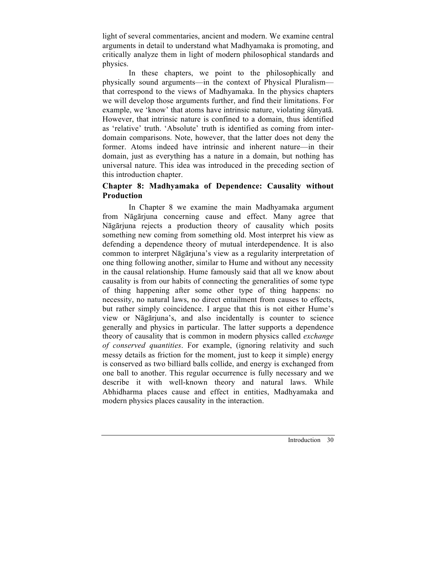light of several commentaries, ancient and modern. We examine central arguments in detail to understand what Madhyamaka is promoting, and critically analyze them in light of modern philosophical standards and physics.

In these chapters, we point to the philosophically and physically sound arguments—in the context of Physical Pluralism that correspond to the views of Madhyamaka. In the physics chapters we will develop those arguments further, and find their limitations. For example, we 'know' that atoms have intrinsic nature, violating śūnyatā. However, that intrinsic nature is confined to a domain, thus identified as 'relative' truth. 'Absolute' truth is identified as coming from interdomain comparisons. Note, however, that the latter does not deny the former. Atoms indeed have intrinsic and inherent nature—in their domain, just as everything has a nature in a domain, but nothing has universal nature. This idea was introduced in the preceding section of this introduction chapter.

## **Chapter 8: Madhyamaka of Dependence: Causality without Production**

In Chapter 8 we examine the main Madhyamaka argument from Nāgārjuna concerning cause and effect. Many agree that Nāgārjuna rejects a production theory of causality which posits something new coming from something old. Most interpret his view as defending a dependence theory of mutual interdependence. It is also common to interpret Nāgārjuna's view as a regularity interpretation of one thing following another, similar to Hume and without any necessity in the causal relationship. Hume famously said that all we know about causality is from our habits of connecting the generalities of some type of thing happening after some other type of thing happens: no necessity, no natural laws, no direct entailment from causes to effects, but rather simply coincidence. I argue that this is not either Hume's view or Nāgārjuna's, and also incidentally is counter to science generally and physics in particular. The latter supports a dependence theory of causality that is common in modern physics called *exchange of conserved quantities*. For example, (ignoring relativity and such messy details as friction for the moment, just to keep it simple) energy is conserved as two billiard balls collide, and energy is exchanged from one ball to another. This regular occurrence is fully necessary and we describe it with well-known theory and natural laws. While Abhidharma places cause and effect in entities, Madhyamaka and modern physics places causality in the interaction.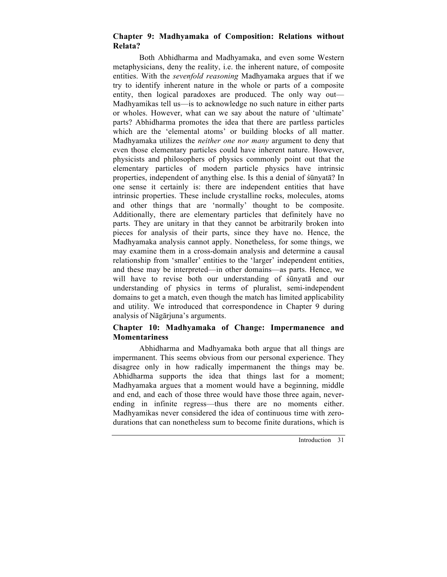## **Chapter 9: Madhyamaka of Composition: Relations without Relata?**

Both Abhidharma and Madhyamaka, and even some Western metaphysicians, deny the reality, i.e. the inherent nature, of composite entities. With the *sevenfold reasoning* Madhyamaka argues that if we try to identify inherent nature in the whole or parts of a composite entity, then logical paradoxes are produced. The only way out— Madhyamikas tell us—is to acknowledge no such nature in either parts or wholes. However, what can we say about the nature of 'ultimate' parts? Abhidharma promotes the idea that there are partless particles which are the 'elemental atoms' or building blocks of all matter. Madhyamaka utilizes the *neither one nor many* argument to deny that even those elementary particles could have inherent nature. However, physicists and philosophers of physics commonly point out that the elementary particles of modern particle physics have intrinsic properties, independent of anything else. Is this a denial of śūnyatā? In one sense it certainly is: there are independent entities that have intrinsic properties. These include crystalline rocks, molecules, atoms and other things that are 'normally' thought to be composite. Additionally, there are elementary particles that definitely have no parts. They are unitary in that they cannot be arbitrarily broken into pieces for analysis of their parts, since they have no. Hence, the Madhyamaka analysis cannot apply. Nonetheless, for some things, we may examine them in a cross-domain analysis and determine a causal relationship from 'smaller' entities to the 'larger' independent entities, and these may be interpreted—in other domains—as parts. Hence, we will have to revise both our understanding of śūnyatā and our understanding of physics in terms of pluralist, semi-independent domains to get a match, even though the match has limited applicability and utility. We introduced that correspondence in Chapter 9 during analysis of Nāgārjuna's arguments.

## **Chapter 10: Madhyamaka of Change: Impermanence and Momentariness**

Abhidharma and Madhyamaka both argue that all things are impermanent. This seems obvious from our personal experience. They disagree only in how radically impermanent the things may be. Abhidharma supports the idea that things last for a moment; Madhyamaka argues that a moment would have a beginning, middle and end, and each of those three would have those three again, neverending in infinite regress—thus there are no moments either. Madhyamikas never considered the idea of continuous time with zerodurations that can nonetheless sum to become finite durations, which is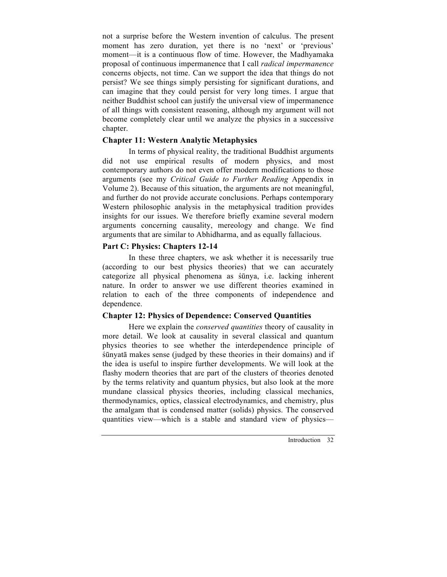not a surprise before the Western invention of calculus. The present moment has zero duration, yet there is no 'next' or 'previous' moment—it is a continuous flow of time. However, the Madhyamaka proposal of continuous impermanence that I call *radical impermanence* concerns objects, not time. Can we support the idea that things do not persist? We see things simply persisting for significant durations, and can imagine that they could persist for very long times. I argue that neither Buddhist school can justify the universal view of impermanence of all things with consistent reasoning, although my argument will not become completely clear until we analyze the physics in a successive chapter.

## **Chapter 11: Western Analytic Metaphysics**

In terms of physical reality, the traditional Buddhist arguments did not use empirical results of modern physics, and most contemporary authors do not even offer modern modifications to those arguments (see my *Critical Guide to Further Reading* Appendix in Volume 2). Because of this situation, the arguments are not meaningful, and further do not provide accurate conclusions. Perhaps contemporary Western philosophic analysis in the metaphysical tradition provides insights for our issues. We therefore briefly examine several modern arguments concerning causality, mereology and change. We find arguments that are similar to Abhidharma, and as equally fallacious.

## **Part C: Physics: Chapters 12-14**

In these three chapters, we ask whether it is necessarily true (according to our best physics theories) that we can accurately categorize all physical phenomena as śūnya, i.e. lacking inherent nature. In order to answer we use different theories examined in relation to each of the three components of independence and dependence.

#### **Chapter 12: Physics of Dependence: Conserved Quantities**

Here we explain the *conserved quantities* theory of causality in more detail. We look at causality in several classical and quantum physics theories to see whether the interdependence principle of śūnyatā makes sense (judged by these theories in their domains) and if the idea is useful to inspire further developments. We will look at the flashy modern theories that are part of the clusters of theories denoted by the terms relativity and quantum physics, but also look at the more mundane classical physics theories, including classical mechanics, thermodynamics, optics, classical electrodynamics, and chemistry, plus the amalgam that is condensed matter (solids) physics. The conserved quantities view—which is a stable and standard view of physics—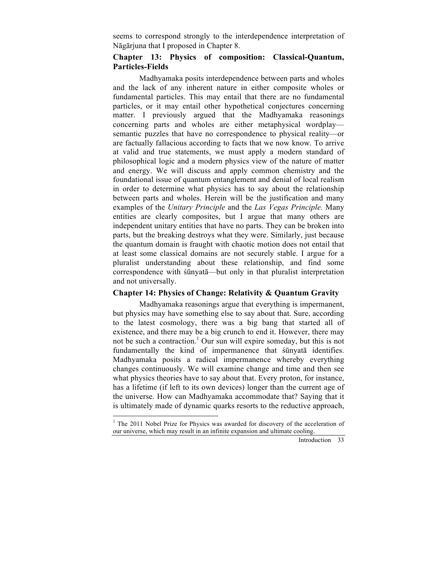seems to correspond strongly to the interdependence interpretation of Nāgārjuna that I proposed in Chapter 8.

## **Chapter 13: Physics of composition: Classical-Quantum, Particles-Fields**

Madhyamaka posits interdependence between parts and wholes and the lack of any inherent nature in either composite wholes or fundamental particles. This may entail that there are no fundamental particles, or it may entail other hypothetical conjectures concerning matter. I previously argued that the Madhyamaka reasonings concerning parts and wholes are either metaphysical wordplay semantic puzzles that have no correspondence to physical reality—or are factually fallacious according to facts that we now know. To arrive at valid and true statements, we must apply a modern standard of philosophical logic and a modern physics view of the nature of matter and energy. We will discuss and apply common chemistry and the foundational issue of quantum entanglement and denial of local realism in order to determine what physics has to say about the relationship between parts and wholes. Herein will be the justification and many examples of the *Unitary Principle* and the *Las Vegas Principle.* Many entities are clearly composites, but I argue that many others are independent unitary entities that have no parts. They can be broken into parts, but the breaking destroys what they were. Similarly, just because the quantum domain is fraught with chaotic motion does not entail that at least some classical domains are not securely stable. I argue for a pluralist understanding about these relationship, and find some correspondence with śūnyatā—but only in that pluralist interpretation and not universally.

## **Chapter 14: Physics of Change: Relativity & Quantum Gravity**

Madhyamaka reasonings argue that everything is impermanent, but physics may have something else to say about that. Sure, according to the latest cosmology, there was a big bang that started all of existence, and there may be a big crunch to end it. However, there may not be such a contraction.<sup>1</sup> Our sun will expire someday, but this is not fundamentally the kind of impermanence that śūnyatā identifies. Madhyamaka posits a radical impermanence whereby everything changes continuously. We will examine change and time and then see what physics theories have to say about that. Every proton, for instance, has a lifetime (if left to its own devices) longer than the current age of the universe. How can Madhyamaka accommodate that? Saying that it is ultimately made of dynamic quarks resorts to the reductive approach,

 $1$  The 2011 Nobel Prize for Physics was awarded for discovery of the acceleration of our universe, which may result in an infinite expansion and ultimate cooling.

Introduction 33